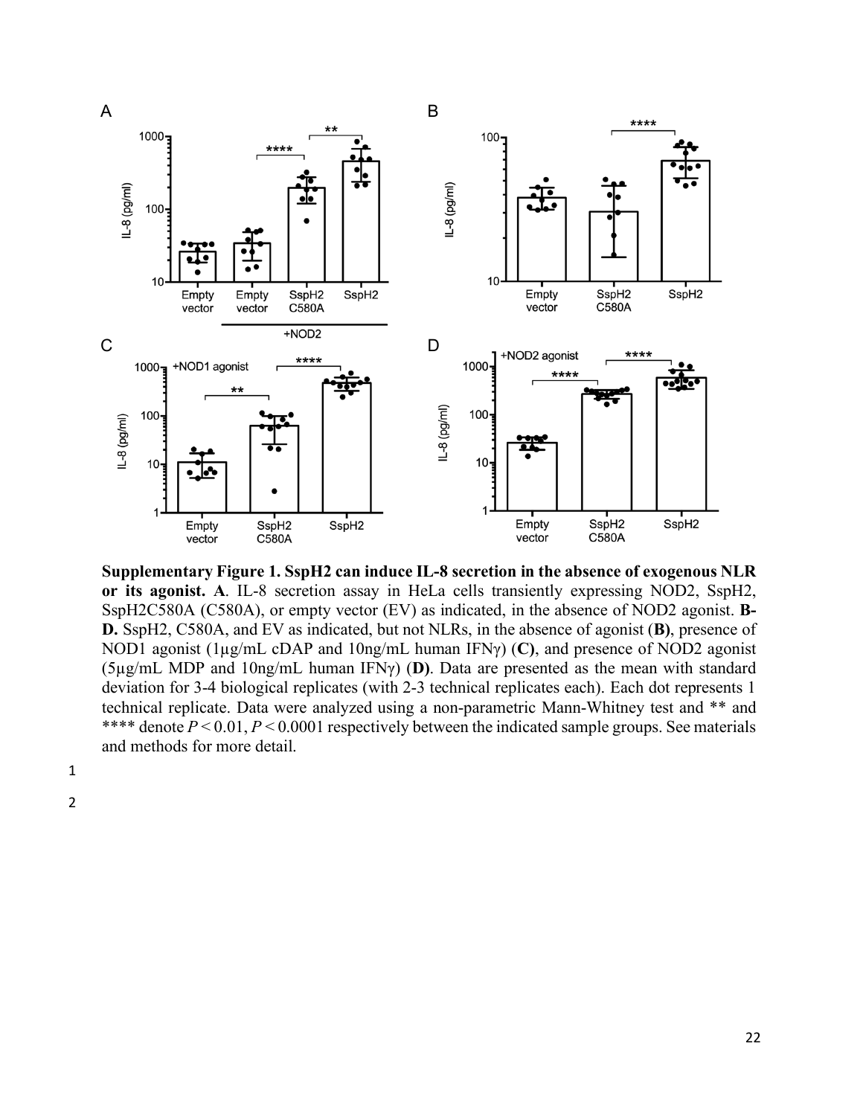

**Supplementary Figure 1. SspH2 can induce IL-8 secretion in the absence of exogenous NLR or its agonist. A**. IL-8 secretion assay in HeLa cells transiently expressing NOD2, SspH2, SspH2C580A (C580A), or empty vector (EV) as indicated, in the absence of NOD2 agonist. **B-D.** SspH2, C580A, and EV as indicated, but not NLRs, in the absence of agonist (**B)**, presence of NOD1 agonist (1µg/mL cDAP and 10ng/mL human IFNγ) (**C)**, and presence of NOD2 agonist (5µg/mL MDP and 10ng/mL human IFNγ) (**D)**. Data are presented as the mean with standard deviation for 3-4 biological replicates (with 2-3 technical replicates each). Each dot represents 1 technical replicate. Data were analyzed using a non-parametric Mann-Whitney test and \*\* and \*\*\*\* denote  $P \le 0.01$ ,  $P \le 0.0001$  respectively between the indicated sample groups. See materials and methods for more detail.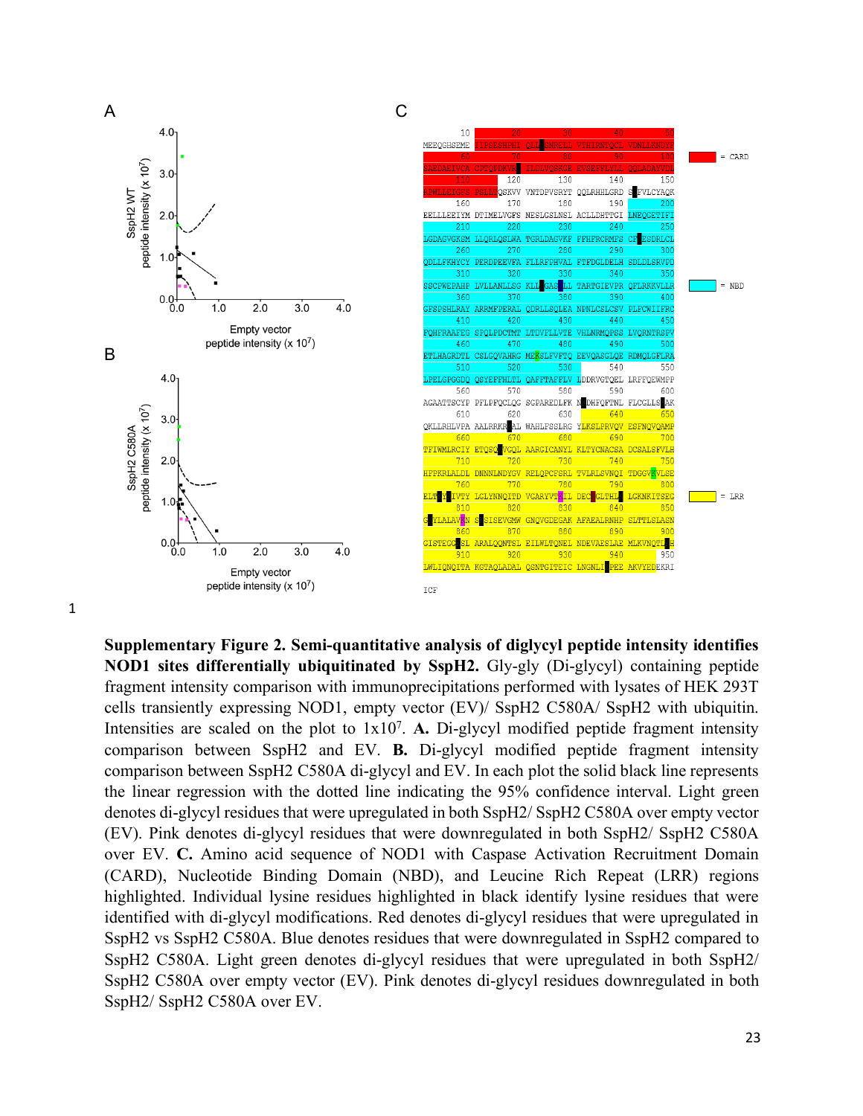

**Supplementary Figure 2. Semi-quantitative analysis of diglycyl peptide intensity identifies NOD1 sites differentially ubiquitinated by SspH2.** Gly-gly (Di-glycyl) containing peptide fragment intensity comparison with immunoprecipitations performed with lysates of HEK 293T cells transiently expressing NOD1, empty vector (EV)/ SspH2 C580A/ SspH2 with ubiquitin. Intensities are scaled on the plot to 1x10<sup>7</sup>. A. Di-glycyl modified peptide fragment intensity comparison between SspH2 and EV. **B.** Di-glycyl modified peptide fragment intensity comparison between SspH2 C580A di-glycyl and EV. In each plot the solid black line represents the linear regression with the dotted line indicating the 95% confidence interval. Light green denotes di-glycyl residues that were upregulated in both SspH2/ SspH2 C580A over empty vector (EV). Pink denotes di-glycyl residues that were downregulated in both SspH2/ SspH2 C580A over EV. **C.** Amino acid sequence of NOD1 with Caspase Activation Recruitment Domain (CARD), Nucleotide Binding Domain (NBD), and Leucine Rich Repeat (LRR) regions highlighted. Individual lysine residues highlighted in black identify lysine residues that were identified with di-glycyl modifications. Red denotes di-glycyl residues that were upregulated in SspH2 vs SspH2 C580A. Blue denotes residues that were downregulated in SspH2 compared to SspH2 C580A. Light green denotes di-glycyl residues that were upregulated in both SspH2/ SspH2 C580A over empty vector (EV). Pink denotes di-glycyl residues downregulated in both SspH2/ SspH2 C580A over EV.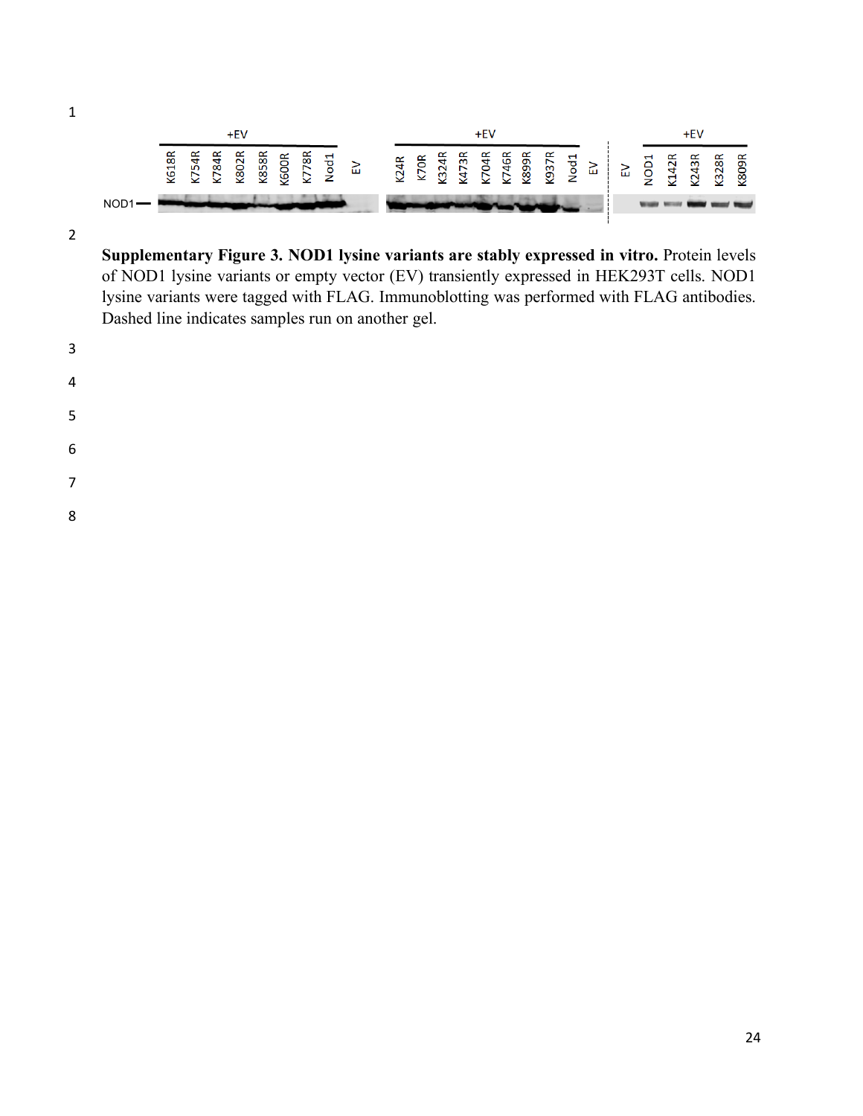![](_page_2_Figure_1.jpeg)

**Supplementary Figure 3. NOD1 lysine variants are stably expressed in vitro.** Protein levels of NOD1 lysine variants or empty vector (EV) transiently expressed in HEK293T cells. NOD1 lysine variants were tagged with FLAG. Immunoblotting was performed with FLAG antibodies. Dashed line indicates samples run on another gel.

- 
- 
- 
- 
- 
- 
- 
-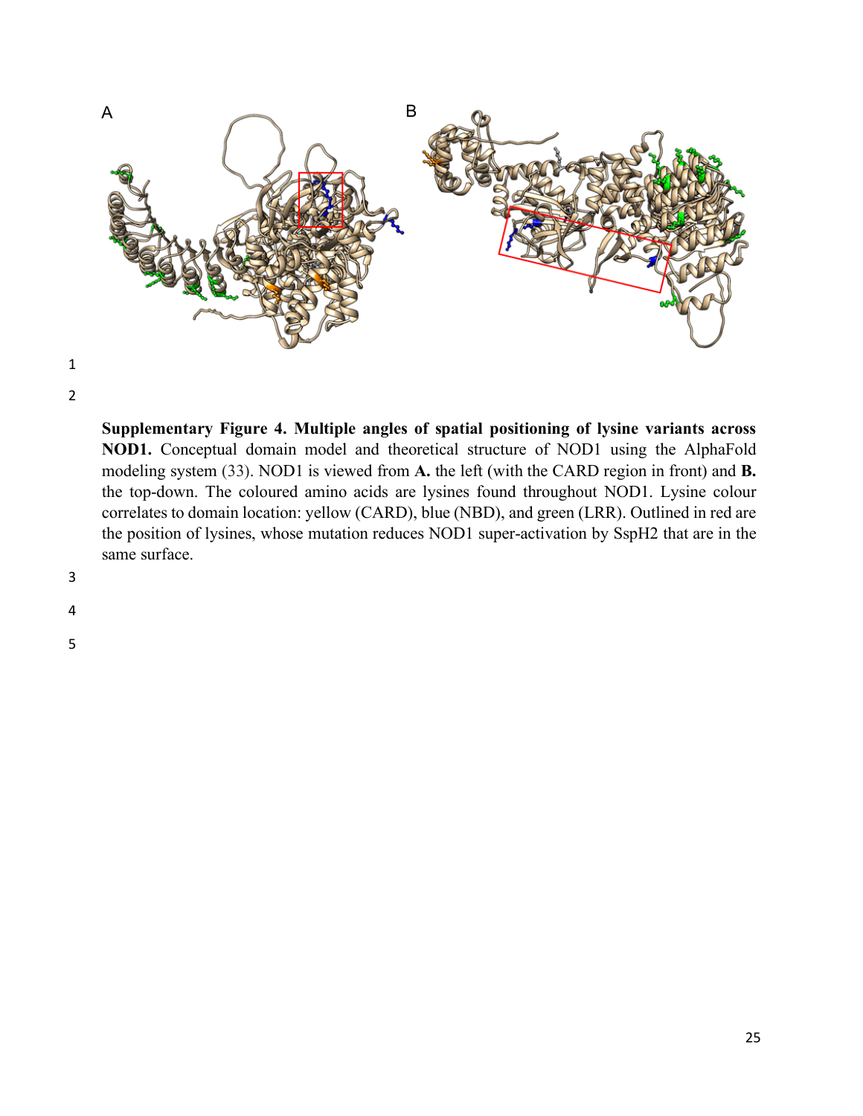![](_page_3_Figure_0.jpeg)

2

**Supplementary Figure 4. Multiple angles of spatial positioning of lysine variants across NOD1.** Conceptual domain model and theoretical structure of NOD1 using the AlphaFold modeling system (33). NOD1 is viewed from **A.** the left (with the CARD region in front) and **B.** the top-down. The coloured amino acids are lysines found throughout NOD1. Lysine colour correlates to domain location: yellow (CARD), blue (NBD), and green (LRR). Outlined in red are the position of lysines, whose mutation reduces NOD1 super-activation by SspH2 that are in the same surface.

## 3

4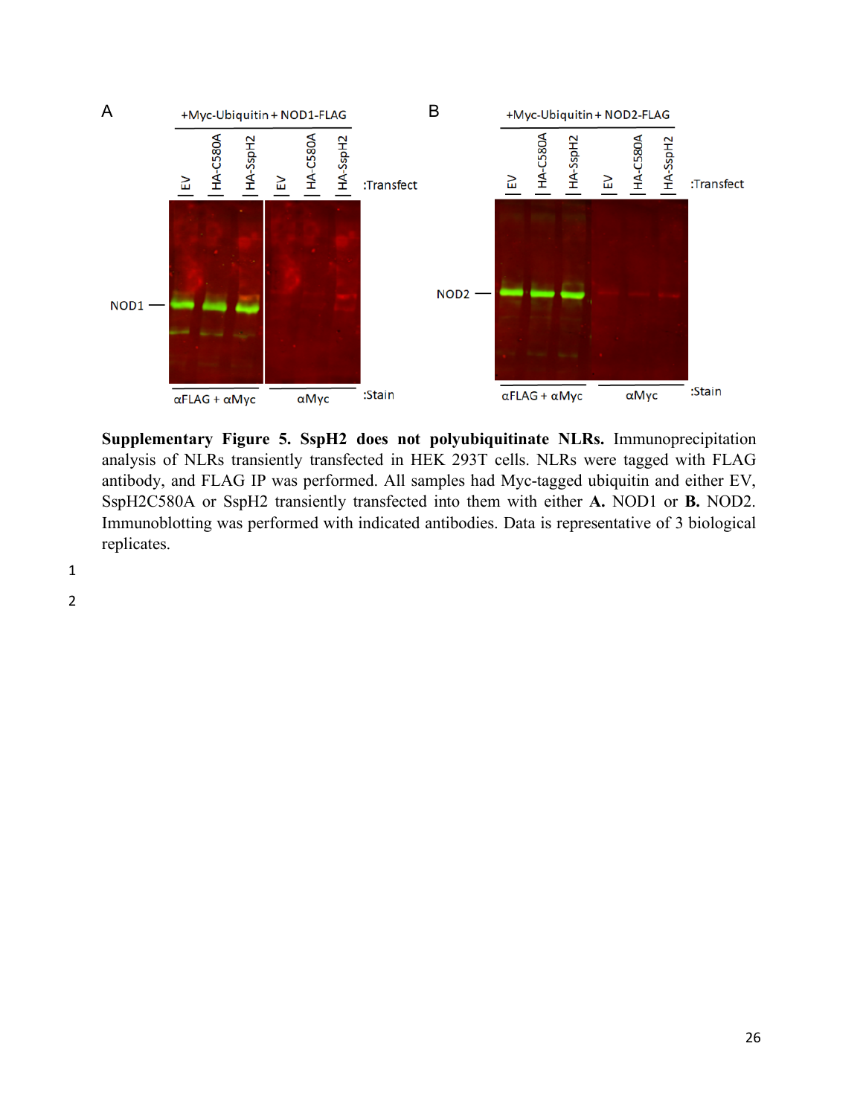![](_page_4_Figure_0.jpeg)

**Supplementary Figure 5. SspH2 does not polyubiquitinate NLRs.** Immunoprecipitation analysis of NLRs transiently transfected in HEK 293T cells. NLRs were tagged with FLAG antibody, and FLAG IP was performed. All samples had Myc-tagged ubiquitin and either EV, SspH2C580A or SspH2 transiently transfected into them with either **A.** NOD1 or **B.** NOD2. Immunoblotting was performed with indicated antibodies. Data is representative of 3 biological replicates.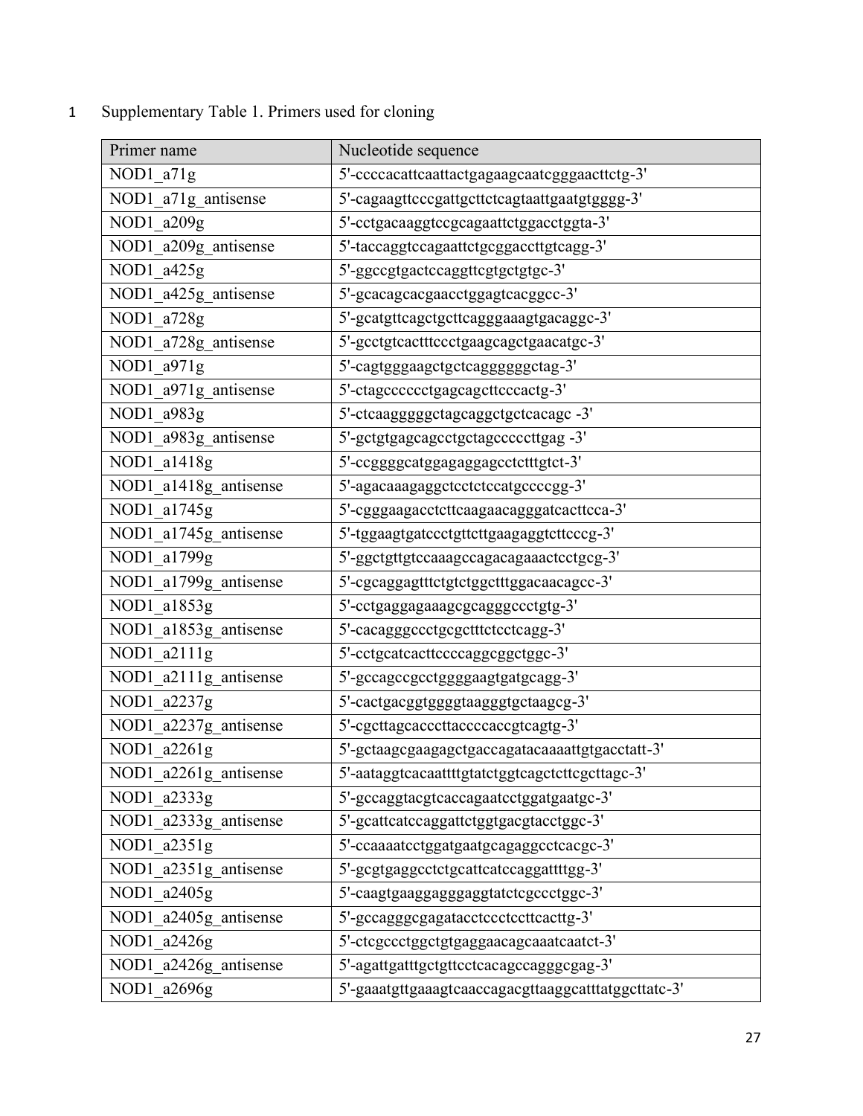## 1 Supplementary Table 1. Primers used for cloning

| Primer name           | Nucleotide sequence                                           |
|-----------------------|---------------------------------------------------------------|
| $NOD1_a71g$           | 5'-ccccacattcaattactgagaagcaatcgggaacttctg-3'                 |
| NOD1_a71g_antisense   | 5'-cagaagttcccgattgcttctcagtaattgaatgtgggg-3'                 |
| NOD1_a209g            | 5'-cctgacaaggtccgcagaattctggacctggta-3'                       |
| NOD1_a209g_antisense  | 5'-taccaggtccagaattctgcggaccttgtcagg-3'                       |
| NOD1_a425g            | 5'-ggccgtgactccaggttcgtgctgtgc-3'                             |
| NOD1_a425g_antisense  | 5'-gcacagcacgaacctggagtcacggcc-3'                             |
| NOD1_a728g            | 5'-gcatgttcagctgcttcagggaaagtgacaggc-3'                       |
| NOD1_a728g_antisense  | 5'-gcctgtcactttccctgaagcagctgaacatgc-3'                       |
| NOD1_a971g            | 5'-cagtgggaagctgctcagggggggctag-3'                            |
| NOD1_a971g_antisense  | 5'-ctagcccccctgagcagcttcccactg-3'                             |
| NOD1_a983g            | 5'-ctcaaggggggctagcaggctgctcacagc -3'                         |
| NOD1_a983g_antisense  | 5'-gctgtgagcagcctgctagcccccttgag -3'                          |
| NOD1_a1418g           | 5'-ccggggcatggagaggagcctctttgtct-3'                           |
| NOD1_a1418g_antisense | 5'-agacaaagaggctcctctccatgccccgg-3'                           |
| NOD1_a1745g           | 5'-cgggaagacctcttcaagaacagggatcacttcca-3'                     |
| NOD1_a1745g_antisense | 5'-tggaagtgatccctgttcttgaagaggtcttcccg-3'                     |
| NOD1_a1799g           | 5'-ggctgttgtccaaagccagacagaaactcctgcg-3'                      |
| NOD1_a1799g_antisense | 5'-cgcaggagtttctgtctggctttggacaacagcc-3'                      |
| NOD1_a1853g           | 5'-cctgaggagaaagcgcagggccctgtg-3'                             |
| NOD1_a1853g_antisense | 5'-cacagggccctgcgctttctcctcagg-3'                             |
| NOD1_a2111g           | 5'-cctgcatcacttccccaggcggctggc-3'                             |
| NOD1_a2111g_antisense | 5'-gccagccgcctggggaagtgatgcagg-3'                             |
| NOD1_a2237g           | 5'-cactgacggtggggtaagggtgctaagcg-3'                           |
| NOD1_a2237g_antisense | 5'-cgcttagcacccttaccccaccgtcagtg-3'                           |
| NOD1_a2261g           | 5'-gctaagcgaagagctgaccagatacaaaattgtgacctatt-3'               |
| NOD1_a2261g_antisense | $\Gamma$ .<br>5'-aataggtcacaattttgtatctggtcagctcttcgcttagc-3' |
| NOD1_a2333g           | 5'-gccaggtacgtcaccagaatcctggatgaatgc-3'                       |
| NOD1_a2333g_antisense | 5'-gcattcatccaggattctggtgacgtacctggc-3'                       |
| NOD1_a2351g           | 5'-ccaaaatcctggatgaatgcagaggcctcacgc-3'                       |
| NOD1_a2351g_antisense | 5'-gcgtgaggcctctgcattcatccaggattttgg-3'                       |
| NOD1_a2405g           | 5'-caagtgaaggagggaggtatctcgccctggc-3'                         |
| NOD1_a2405g_antisense | 5'-gccagggcgagatacctccctccttcacttg-3'                         |
| NOD1_a2426g           | 5'-ctcgccctggctgtgaggaacagcaaatcaatct-3'                      |
| NOD1_a2426g_antisense | 5'-agattgatttgctgttcctcacagccagggcgag-3'                      |
| NOD1_a2696g           | 5'-gaaatgttgaaagtcaaccagacgttaaggcatttatggcttatc-3'           |